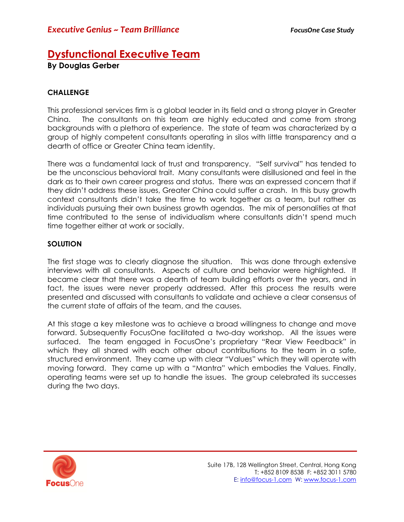## **Dysfunctional Executive Team**

**By Douglas Gerber** 

## **CHALLENGE**

This professional services firm is a global leader in its field and a strong player in Greater China. The consultants on this team are highly educated and come from strong backgrounds with a plethora of experience. The state of team was characterized by a group of highly competent consultants operating in silos with little transparency and a dearth of office or Greater China team identity.

There was a fundamental lack of trust and transparency. "Self survival" has tended to be the unconscious behavioral trait. Many consultants were disillusioned and feel in the dark as to their own career progress and status. There was an expressed concern that if they didn't address these issues, Greater China could suffer a crash. In this busy growth context consultants didn't take the time to work together as a team, but rather as individuals pursuing their own business growth agendas. The mix of personalities at that time contributed to the sense of individualism where consultants didn't spend much time together either at work or socially.

## **SOLUTION**

The first stage was to clearly diagnose the situation. This was done through extensive interviews with all consultants. Aspects of culture and behavior were highlighted. It became clear that there was a dearth of team building efforts over the years, and in fact, the issues were never properly addressed. After this process the results were presented and discussed with consultants to validate and achieve a clear consensus of the current state of affairs of the team, and the causes.

At this stage a key milestone was to achieve a broad willingness to change and move forward. Subsequently FocusOne facilitated a two-day workshop. All the issues were surfaced. The team engaged in FocusOne's proprietary "Rear View Feedback" in which they all shared with each other about contributions to the team in a safe, structured environment. They came up with clear "Values" which they will operate with moving forward. They came up with a "Mantra" which embodies the Values. Finally, operating teams were set up to handle the issues. The group celebrated its successes during the two days.